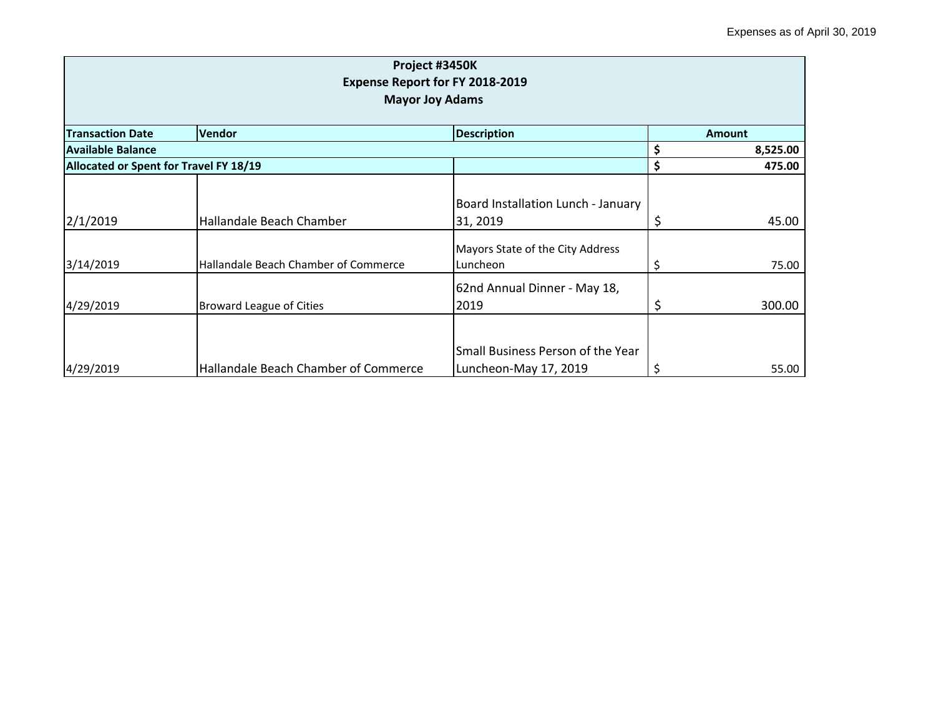| Project #3450K<br><b>Expense Report for FY 2018-2019</b><br><b>Mayor Joy Adams</b> |                                      |                                                            |    |               |  |
|------------------------------------------------------------------------------------|--------------------------------------|------------------------------------------------------------|----|---------------|--|
| <b>Transaction Date</b>                                                            | <b>Vendor</b>                        | <b>Description</b>                                         |    | <b>Amount</b> |  |
| Available Balance                                                                  |                                      |                                                            |    | 8,525.00      |  |
| Allocated or Spent for Travel FY 18/19                                             |                                      |                                                            | Ś  | 475.00        |  |
| 2/1/2019                                                                           | Hallandale Beach Chamber             | Board Installation Lunch - January<br>31, 2019             |    | 45.00         |  |
| 3/14/2019                                                                          | Hallandale Beach Chamber of Commerce | Mayors State of the City Address<br>Luncheon               | \$ | 75.00         |  |
| 4/29/2019                                                                          | <b>Broward League of Cities</b>      | 62nd Annual Dinner - May 18,<br>2019                       | \$ | 300.00        |  |
| 4/29/2019                                                                          | Hallandale Beach Chamber of Commerce | Small Business Person of the Year<br>Luncheon-May 17, 2019 |    | 55.00         |  |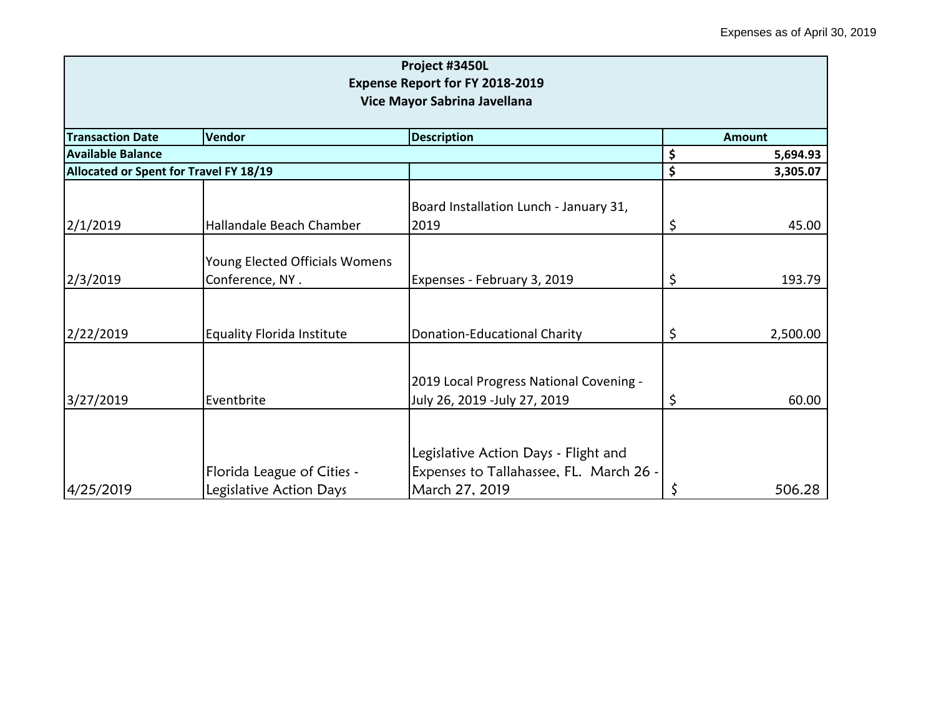| Project #3450L<br><b>Expense Report for FY 2018-2019</b> |                                   |                                                                                 |    |               |  |
|----------------------------------------------------------|-----------------------------------|---------------------------------------------------------------------------------|----|---------------|--|
| Vice Mayor Sabrina Javellana                             |                                   |                                                                                 |    |               |  |
| <b>Transaction Date</b>                                  | Vendor                            | <b>Description</b>                                                              |    | <b>Amount</b> |  |
| <b>Available Balance</b>                                 |                                   |                                                                                 | \$ | 5,694.93      |  |
| Allocated or Spent for Travel FY 18/19                   |                                   |                                                                                 | \$ | 3,305.07      |  |
|                                                          |                                   | Board Installation Lunch - January 31,                                          |    |               |  |
| 2/1/2019                                                 | Hallandale Beach Chamber          | 2019                                                                            | \$ | 45.00         |  |
|                                                          | Young Elected Officials Womens    |                                                                                 |    |               |  |
| 2/3/2019                                                 | Conference, NY.                   | Expenses - February 3, 2019                                                     | \$ | 193.79        |  |
| 2/22/2019                                                | <b>Equality Florida Institute</b> | <b>Donation-Educational Charity</b>                                             | \$ | 2,500.00      |  |
|                                                          |                                   |                                                                                 |    |               |  |
| 3/27/2019                                                | Eventbrite                        | 2019 Local Progress National Covening -<br>July 26, 2019 -July 27, 2019         | \$ | 60.00         |  |
|                                                          |                                   |                                                                                 |    |               |  |
|                                                          | Florida League of Cities -        | Legislative Action Days - Flight and<br>Expenses to Tallahassee, FL. March 26 - |    |               |  |
| 4/25/2019                                                | Legislative Action Days           | March 27, 2019                                                                  |    | 506.28        |  |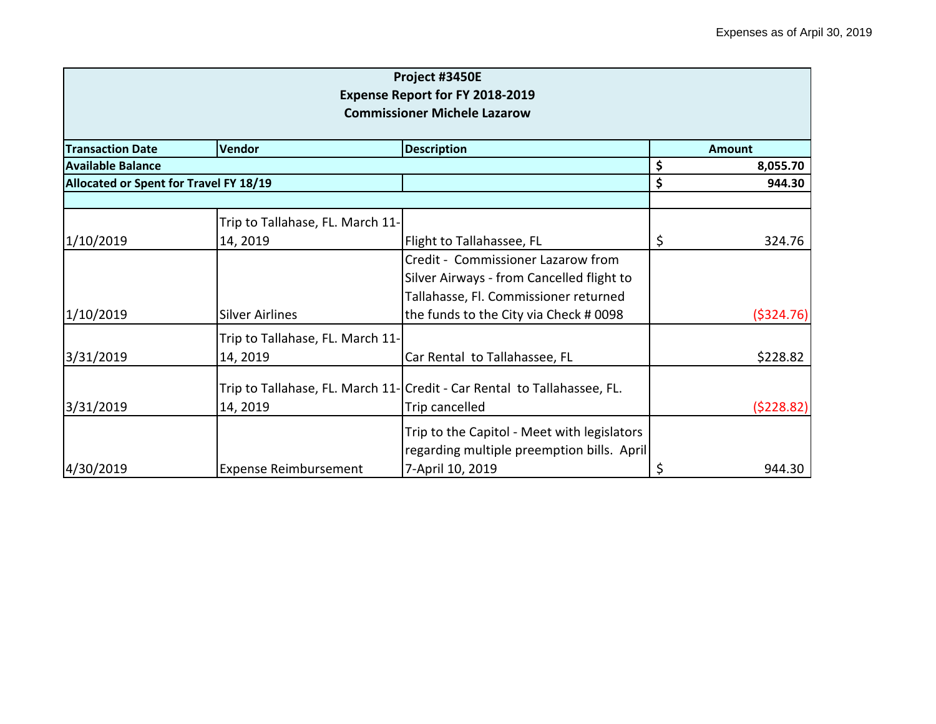|                                                                               |                                        | Project #3450E                                                           |    |               |  |
|-------------------------------------------------------------------------------|----------------------------------------|--------------------------------------------------------------------------|----|---------------|--|
| <b>Expense Report for FY 2018-2019</b><br><b>Commissioner Michele Lazarow</b> |                                        |                                                                          |    |               |  |
|                                                                               |                                        |                                                                          |    |               |  |
| <b>Transaction Date</b>                                                       | Vendor                                 | <b>Description</b>                                                       |    | <b>Amount</b> |  |
| <b>Available Balance</b>                                                      |                                        |                                                                          | \$ | 8,055.70      |  |
|                                                                               | Allocated or Spent for Travel FY 18/19 |                                                                          |    | 944.30        |  |
|                                                                               |                                        |                                                                          |    |               |  |
|                                                                               | Trip to Tallahase, FL. March 11-       |                                                                          |    |               |  |
| 1/10/2019                                                                     | 14, 2019                               | Flight to Tallahassee, FL                                                | \$ | 324.76        |  |
|                                                                               |                                        | Credit - Commissioner Lazarow from                                       |    |               |  |
|                                                                               |                                        | Silver Airways - from Cancelled flight to                                |    |               |  |
|                                                                               |                                        | Tallahasse, Fl. Commissioner returned                                    |    |               |  |
| 1/10/2019                                                                     | <b>Silver Airlines</b>                 | the funds to the City via Check # 0098                                   |    | (5324.76)     |  |
|                                                                               | Trip to Tallahase, FL. March 11-       |                                                                          |    |               |  |
| 3/31/2019                                                                     | 14, 2019                               | Car Rental to Tallahassee, FL                                            |    | \$228.82      |  |
|                                                                               |                                        | Trip to Tallahase, FL. March 11- Credit - Car Rental to Tallahassee, FL. |    |               |  |
| 3/31/2019                                                                     | 14, 2019                               | Trip cancelled                                                           |    | (5228.82)     |  |
|                                                                               |                                        | Trip to the Capitol - Meet with legislators                              |    |               |  |
|                                                                               |                                        | regarding multiple preemption bills. April                               |    |               |  |
| 4/30/2019                                                                     | <b>Expense Reimbursement</b>           | 7-April 10, 2019                                                         | \$ | 944.30        |  |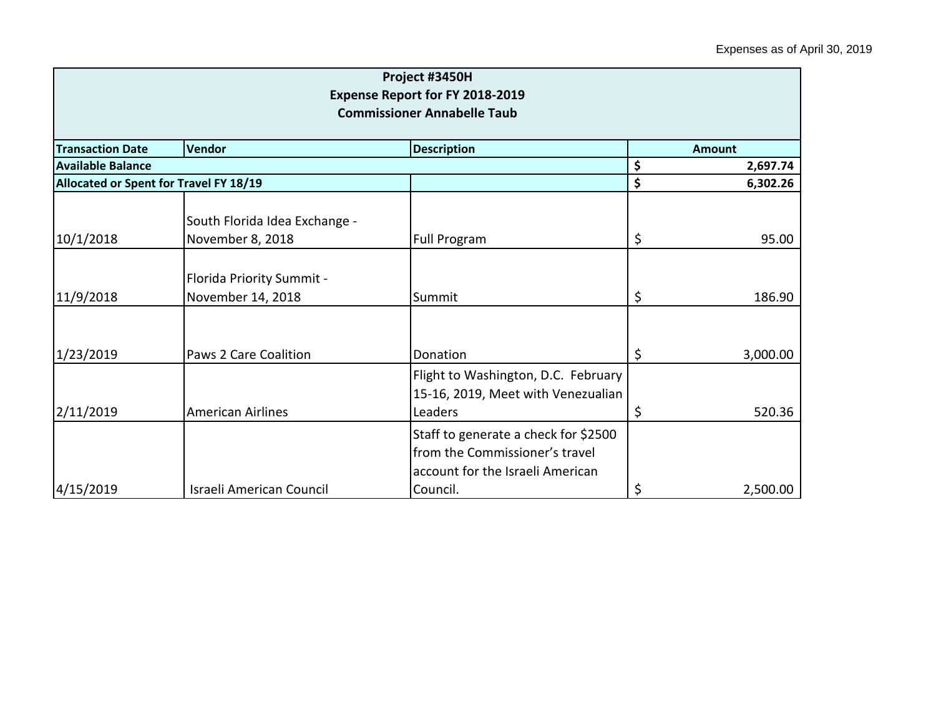| Project #3450H<br><b>Expense Report for FY 2018-2019</b><br><b>Commissioner Annabelle Taub</b> |                                                   |                                                                                                            |    |               |
|------------------------------------------------------------------------------------------------|---------------------------------------------------|------------------------------------------------------------------------------------------------------------|----|---------------|
| <b>Transaction Date</b>                                                                        | Vendor                                            | <b>Description</b>                                                                                         |    | <b>Amount</b> |
| <b>Available Balance</b>                                                                       |                                                   |                                                                                                            | \$ | 2,697.74      |
| Allocated or Spent for Travel FY 18/19                                                         |                                                   |                                                                                                            | \$ | 6,302.26      |
| 10/1/2018                                                                                      | South Florida Idea Exchange -<br>November 8, 2018 | Full Program                                                                                               | \$ | 95.00         |
| 11/9/2018                                                                                      | Florida Priority Summit -<br>November 14, 2018    | Summit                                                                                                     | \$ | 186.90        |
| 1/23/2019                                                                                      | Paws 2 Care Coalition                             | Donation                                                                                                   | \$ | 3,000.00      |
| 2/11/2019                                                                                      | <b>American Airlines</b>                          | Flight to Washington, D.C. February<br>15-16, 2019, Meet with Venezualian<br>Leaders                       | \$ | 520.36        |
|                                                                                                |                                                   | Staff to generate a check for \$2500<br>from the Commissioner's travel<br>account for the Israeli American |    |               |
| 4/15/2019                                                                                      | Israeli American Council                          | Council.                                                                                                   | \$ | 2,500.00      |